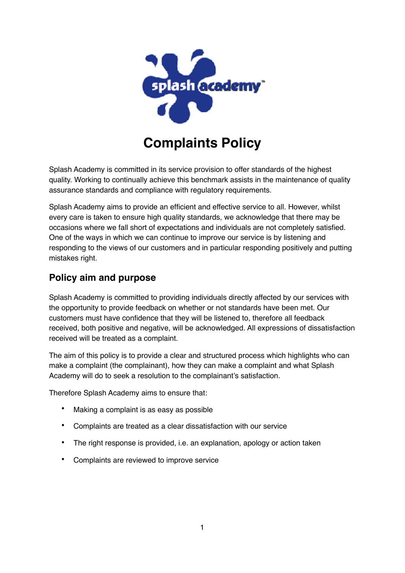

# **Complaints Policy**

Splash Academy is committed in its service provision to offer standards of the highest quality. Working to continually achieve this benchmark assists in the maintenance of quality assurance standards and compliance with regulatory requirements.

Splash Academy aims to provide an efficient and effective service to all. However, whilst every care is taken to ensure high quality standards, we acknowledge that there may be occasions where we fall short of expectations and individuals are not completely satisfied. One of the ways in which we can continue to improve our service is by listening and responding to the views of our customers and in particular responding positively and putting mistakes right.

## **Policy aim and purpose**

Splash Academy is committed to providing individuals directly affected by our services with the opportunity to provide feedback on whether or not standards have been met. Our customers must have confidence that they will be listened to, therefore all feedback received, both positive and negative, will be acknowledged. All expressions of dissatisfaction received will be treated as a complaint.

The aim of this policy is to provide a clear and structured process which highlights who can make a complaint (the complainant), how they can make a complaint and what Splash Academy will do to seek a resolution to the complainant's satisfaction.

Therefore Splash Academy aims to ensure that:

- Making a complaint is as easy as possible
- Complaints are treated as a clear dissatisfaction with our service
- The right response is provided, i.e. an explanation, apology or action taken
- Complaints are reviewed to improve service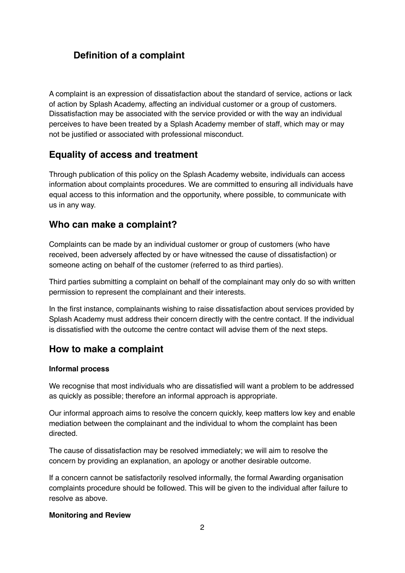# **Definition of a complaint**

A complaint is an expression of dissatisfaction about the standard of service, actions or lack of action by Splash Academy, affecting an individual customer or a group of customers. Dissatisfaction may be associated with the service provided or with the way an individual perceives to have been treated by a Splash Academy member of staff, which may or may not be justified or associated with professional misconduct.

## **Equality of access and treatment**

Through publication of this policy on the Splash Academy website, individuals can access information about complaints procedures. We are committed to ensuring all individuals have equal access to this information and the opportunity, where possible, to communicate with us in any way.

#### **Who can make a complaint?**

Complaints can be made by an individual customer or group of customers (who have received, been adversely affected by or have witnessed the cause of dissatisfaction) or someone acting on behalf of the customer (referred to as third parties).

Third parties submitting a complaint on behalf of the complainant may only do so with written permission to represent the complainant and their interests.

In the first instance, complainants wishing to raise dissatisfaction about services provided by Splash Academy must address their concern directly with the centre contact. If the individual is dissatisfied with the outcome the centre contact will advise them of the next steps.

### **How to make a complaint**

#### **Informal process**

We recognise that most individuals who are dissatisfied will want a problem to be addressed as quickly as possible; therefore an informal approach is appropriate.

Our informal approach aims to resolve the concern quickly, keep matters low key and enable mediation between the complainant and the individual to whom the complaint has been directed.

The cause of dissatisfaction may be resolved immediately; we will aim to resolve the concern by providing an explanation, an apology or another desirable outcome.

If a concern cannot be satisfactorily resolved informally, the formal Awarding organisation complaints procedure should be followed. This will be given to the individual after failure to resolve as above.

#### **Monitoring and Review**